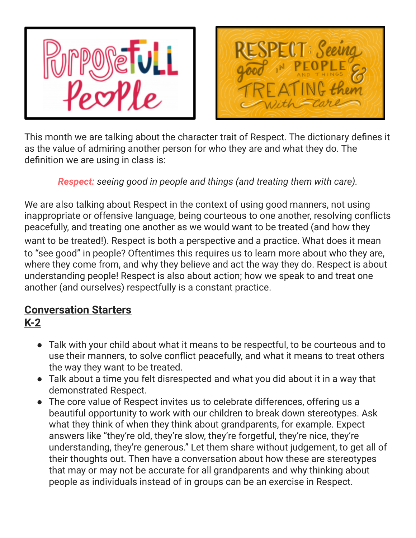



This month we are talking about the character trait of Respect. The dictionary defines it as the value of admiring another person for who they are and what they do. The definition we are using in class is:

*Respect: seeing good in people and things (and treating them with care).*

We are also talking about Respect in the context of using good manners, not using inappropriate or offensive language, being courteous to one another, resolving conflicts peacefully, and treating one another as we would want to be treated (and how they want to be treated!). Respect is both a perspective and a practice. What does it mean to "see good" in people? Oftentimes this requires us to learn more about who they are, where they come from, and why they believe and act the way they do. Respect is about understanding people! Respect is also about action; how we speak to and treat one another (and ourselves) respectfully is a constant practice.

# **Conversation Starters**

**K-2**

- Talk with your child about what it means to be respectful, to be courteous and to use their manners, to solve conflict peacefully, and what it means to treat others the way they want to be treated.
- Talk about a time you felt disrespected and what you did about it in a way that demonstrated Respect.
- The core value of Respect invites us to celebrate differences, offering us a beautiful opportunity to work with our children to break down stereotypes. Ask what they think of when they think about grandparents, for example. Expect answers like "they're old, they're slow, they're forgetful, they're nice, they're understanding, they're generous." Let them share without judgement, to get all of their thoughts out. Then have a conversation about how these are stereotypes that may or may not be accurate for all grandparents and why thinking about people as individuals instead of in groups can be an exercise in Respect.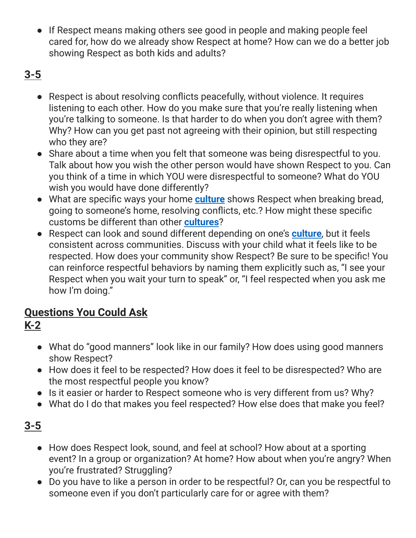• If Respect means making others see good in people and making people feel cared for, how do we already show Respect at home? How can we do a better job showing Respect as both kids and adults?

# **3-5**

- Respect is about resolving conflicts peacefully, without violence. It requires listening to each other. How do you make sure that you're really listening when you're talking to someone. Is that harder to do when you don't agree with them? Why? How can you get past not agreeing with their opinion, but still respecting who they are?
- Share about a time when you felt that someone was being disrespectful to you. Talk about how you wish the other person would have shown Respect to you. Can you think of a time in which YOU were disrespectful to someone? What do YOU wish you would have done differently?
- What are specific ways your home **[culture](https://curriculum.characterstrong.com/purposefull-equity-terms/#culture)** shows Respect when breaking bread, going to someone's home, resolving conflicts, etc.? How might these specific customs be different than other **[cultures](https://curriculum.characterstrong.com/purposefull-equity-terms/#culture)**?
- Respect can look and sound different depending on one's **[culture](https://curriculum.characterstrong.com/purposefull-equity-terms/#culture)**, but it feels consistent across communities. Discuss with your child what it feels like to be respected. How does your community show Respect? Be sure to be specific! You can reinforce respectful behaviors by naming them explicitly such as, "I see your Respect when you wait your turn to speak" or, "I feel respected when you ask me how I'm doing."

# **Questions You Could Ask**

# **K-2**

- What do "good manners" look like in our family? How does using good manners show Respect?
- How does it feel to be respected? How does it feel to be disrespected? Who are the most respectful people you know?
- Is it easier or harder to Respect someone who is very different from us? Why?
- What do I do that makes you feel respected? How else does that make you feel?

# **3-5**

- How does Respect look, sound, and feel at school? How about at a sporting event? In a group or organization? At home? How about when you're angry? When you're frustrated? Struggling?
- Do you have to like a person in order to be respectful? Or, can you be respectful to someone even if you don't particularly care for or agree with them?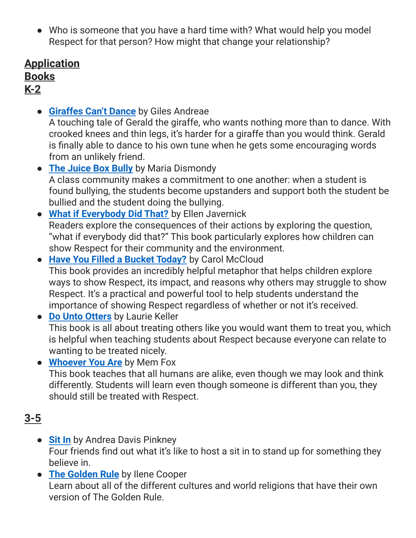● Who is someone that you have a hard time with? What would help you model Respect for that person? How might that change your relationship?

### **Application Books K-2**

● **[Giraffes](https://www.amazon.com/Giraffes-Cant-Dance-Giles-Andreae/dp/0439287197/) Can't Dance** by Giles Andreae

A touching tale of Gerald the giraffe, who wants nothing more than to dance. With crooked knees and thin legs, it's harder for a giraffe than you would think. Gerald is finally able to dance to his own tune when he gets some encouraging words from an unlikely friend.

- **The [Juice](https://www.amazon.com/Juice-Box-Bully-Empowering-Paperback/dp/B00OX89N4Y/) Box Bully** by Maria Dismondy A class community makes a commitment to one another: when a student is found bullying, the students become upstanders and support both the student be bullied and the student doing the bullying.
- **What if [Everybody](https://www.amazon.com/What-If-Everybody-Did-That/dp/0761456864/oks&sr=1-2) Did That?** by Ellen Javernick Readers explore the consequences of their actions by exploring the question, "what if everybody did that?" This book particularly explores how children can show Respect for their community and the environment.
- **Have You Filled a Bucket [Today?](https://www.amazon.com/Have-You-Filled-Bucket-Today/dp/0996099948/)** by Carol McCloud This book provides an incredibly helpful metaphor that helps children explore ways to show Respect, its impact, and reasons why others may struggle to show Respect. It's a practical and powerful tool to help students understand the importance of showing Respect regardless of whether or not it's received.
- **Do Unto [Otters](https://www.amazon.com/Unto-Otters-Book-About-Manners/dp/B006OT9PNO/ref=as_li_ss_tl?ie=UTF8&qid=1524962689&sr=8-1&keywords=Do+Unto+Otters+%E2%80%93+Laurie+Keller&linkCode=ll1&tag=Protobepri-20&linkId=1cb994032873392edcd548683056fdb5)** by Laurie Keller This book is all about treating others like you would want them to treat you, which is helpful when teaching students about Respect because everyone can relate to wanting to be treated nicely.
- **[Whoever](https://www.amazon.com/Whoever-You-Reading-Rainbow-Books/dp/0152060308/ref=sr_1_1?s=books&ie=UTF8&qid=1546208329&sr=1-1&keywords=whoever+you+are) You Are** by Mem Fox This book teaches that all humans are alike, even though we may look and think differently. Students will learn even though someone is different than you, they should still be treated with Respect.

# **3-5**

- **[Sit](https://www.amazon.com/Sit-Friends-Sitting-Addams-Awards/dp/0316070165/ref=asc_df_0316070165/?tag=hyprod-20&linkCode=df0&hvadid=266017953088&hvpos=1o1&hvnetw=g&hvrand=12997452788612882647&hvpone=&hvptwo=&hvqmt=&hvdev=c&hvdvcmdl=&hvlocint=&hvlocphy=9027821&hvtargid=pla-569391186209&psc=1) In** by Andrea Davis Pinkney Four friends find out what it's like to host a sit in to stand up for something they believe in.
- **The [Golden](https://www.amazon.com/Golden-Rule-Ilene-Cooper/dp/081090960X/ref=sr_1_1?s=books&ie=UTF8&qid=1544111969&sr=1-1&keywords=the+golden+rule+ilene+cooper) Rule** by Ilene Cooper Learn about all of the different cultures and world religions that have their own version of The Golden Rule.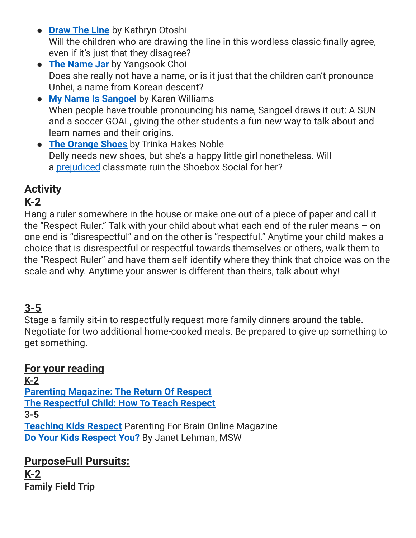- **[Draw](https://www.amazon.com/Draw-Line-Kathryn-Otoshi/dp/1626725632/ref=sr_1_1?s=books&ie=UTF8&qid=1544112136&sr=1-1&keywords=draw+the+line+by+kathryn+otoshi) The Line** by Kathryn Otoshi Will the children who are drawing the line in this wordless classic finally agree, even if it's just that they disagree?
- **The [Name](https://www.amazon.com/Name-Jar-Yangsook-Choi/dp/0440417996) Jar** by Yangsook Choi Does she really not have a name, or is it just that the children can't pronounce Unhei, a name from Korean descent?
- **My Name Is [Sangoel](https://www.amazon.com/My-Name-Sangoel-Karen-Williams/dp/0802853072/ref=sr_1_1?s=books&ie=UTF8&qid=1544115020&sr=1-1&keywords=my+name+is+sangoel)** by Karen Williams When people have trouble pronouncing his name, Sangoel draws it out: A SUN and a soccer GOAL, giving the other students a fun new way to talk about and learn names and their origins.
- **The [Orange](https://www.amazon.com/Orange-Shoes-Trinka-Hakes-Noble/dp/1585362778/ref=sr_1_1?s=books&ie=UTF8&qid=1544115062&sr=1-1&keywords=the+orange+shoes) Shoes** by Trinka Hakes Noble Delly needs new shoes, but she's a happy little girl nonetheless. Will a [prejudiced](https://curriculum.characterstrong.com/purposefull-equity-terms/#prejudice) classmate ruin the Shoebox Social for her?

# **Activity**

# **K-2**

Hang a ruler somewhere in the house or make one out of a piece of paper and call it the "Respect Ruler." Talk with your child about what each end of the ruler means – on one end is "disrespectful" and on the other is "respectful." Anytime your child makes a choice that is disrespectful or respectful towards themselves or others, walk them to the "Respect Ruler" and have them self-identify where they think that choice was on the scale and why. Anytime your answer is different than theirs, talk about why!

# **3-5**

Stage a family sit-in to respectfully request more family dinners around the table. Negotiate for two additional home-cooked meals. Be prepared to give up something to get something.

### **For your reading**

**K-2 Parenting [Magazine:](https://www.parents.com/toddlers-preschoolers/development/manners/the-return-of-respect/) The Return Of Respect The [Respectful](https://www.babycenter.com/0_the-respectful-child-how-to-teach-respect-ages-6-to-8_67920.bc) Child: How To Teach Respect 3-5 [Teaching](https://www.parentingforbrain.com/6-controversial-tips-teaching-kids-respect/) Kids Respect** Parenting For Brain Online Magazine **Do Your Kids [Respect](https://www.empoweringparents.com/article/do-your-kids-respect-you-9-ways-to-change-their-attitude/) You?** By Janet Lehman, MSW

**PurposeFull Pursuits: K-2 Family Field Trip**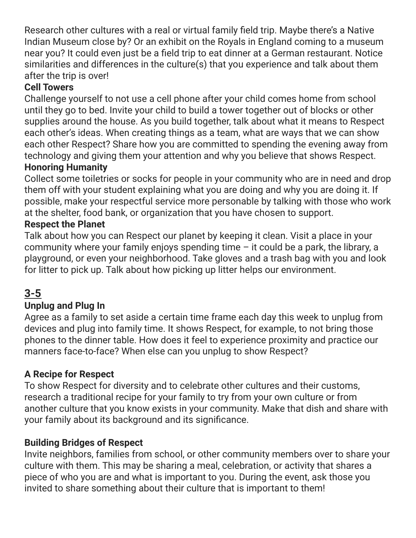Research other cultures with a real or virtual family field trip. Maybe there's a Native Indian Museum close by? Or an exhibit on the Royals in England coming to a museum near you? It could even just be a field trip to eat dinner at a German restaurant. Notice similarities and differences in the culture(s) that you experience and talk about them after the trip is over!

### **Cell Towers**

Challenge yourself to not use a cell phone after your child comes home from school until they go to bed. Invite your child to build a tower together out of blocks or other supplies around the house. As you build together, talk about what it means to Respect each other's ideas. When creating things as a team, what are ways that we can show each other Respect? Share how you are committed to spending the evening away from technology and giving them your attention and why you believe that shows Respect.

### **Honoring Humanity**

Collect some toiletries or socks for people in your community who are in need and drop them off with your student explaining what you are doing and why you are doing it. If possible, make your respectful service more personable by talking with those who work at the shelter, food bank, or organization that you have chosen to support.

### **Respect the Planet**

Talk about how you can Respect our planet by keeping it clean. Visit a place in your community where your family enjoys spending time  $-$  it could be a park, the library, a playground, or even your neighborhood. Take gloves and a trash bag with you and look for litter to pick up. Talk about how picking up litter helps our environment.

### **3-5**

### **Unplug and Plug In**

Agree as a family to set aside a certain time frame each day this week to unplug from devices and plug into family time. It shows Respect, for example, to not bring those phones to the dinner table. How does it feel to experience proximity and practice our manners face-to-face? When else can you unplug to show Respect?

#### **A Recipe for Respect**

To show Respect for diversity and to celebrate other cultures and their customs, research a traditional recipe for your family to try from your own culture or from another culture that you know exists in your community. Make that dish and share with your family about its background and its significance.

#### **Building Bridges of Respect**

Invite neighbors, families from school, or other community members over to share your culture with them. This may be sharing a meal, celebration, or activity that shares a piece of who you are and what is important to you. During the event, ask those you invited to share something about their culture that is important to them!